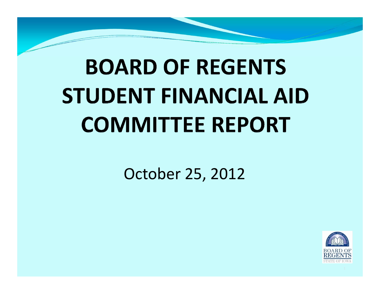# **BOARD OF REGENTS STUDENT FINANCIAL AID COMMITTEE REPORT**

#### October 25, 2012

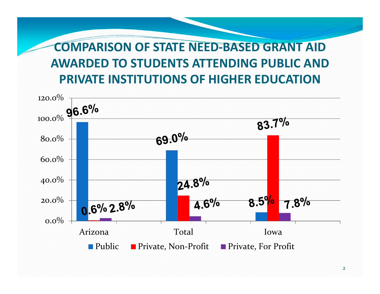#### **COMPARISON OF STATE NEED‐BASED GRANT AID AWARDED TO STUDENTS ATTENDING PUBLIC AND PRIVATE INSTITUTIONS OF HIGHER EDUCATION**

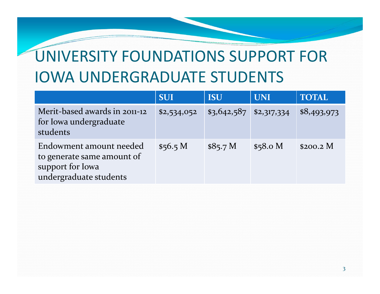## UNIVERSITY FOUNDATIONS SUPPORT FOR IOWA UNDERGRADUATE STUDENTS

|                                                                                                     | <b>SUI</b>  | <b>ISU</b>  | <b>UNI</b>  | <b>TOTAL</b> |
|-----------------------------------------------------------------------------------------------------|-------------|-------------|-------------|--------------|
| Merit-based awards in 2011-12<br>for Iowa undergraduate<br>students                                 | \$2,534,052 | \$3,642,587 | \$2,317,334 | \$8,493,973  |
| Endowment amount needed<br>to generate same amount of<br>support for Iowa<br>undergraduate students | \$56.5 M    | \$85.7 M    | \$58.0 M    | $$200.2$ M   |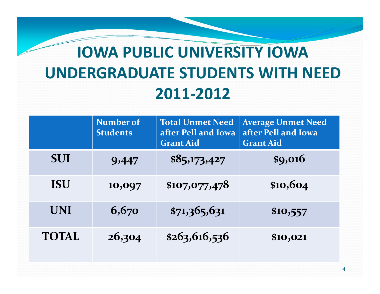## **IOWA PUBLIC UNIVERSITY IOWA UNDERGRADUATE STUDENTS WITH NEED 2011‐2012**

|              | Number of<br><b>Students</b> | <b>Total Unmet Need</b><br>after Pell and Iowa<br><b>Grant Aid</b> | <b>Average Unmet Need</b><br>after Pell and Iowa<br><b>Grant Aid</b> |
|--------------|------------------------------|--------------------------------------------------------------------|----------------------------------------------------------------------|
| <b>SUI</b>   | 9,447                        | \$85,173,427                                                       | \$9,016                                                              |
| <b>ISU</b>   | 10,097                       | \$107,077,478                                                      | \$10,604                                                             |
| <b>UNI</b>   | 6,670                        | \$71,365,631                                                       | \$10,557                                                             |
| <b>TOTAL</b> | 26,304                       | \$263,616,536                                                      | \$10,021                                                             |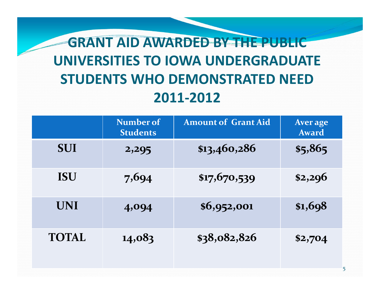### **GRANT AID AWARDED BY THE PUBLIC UNIVERSITIES TO IOWA UNDERGRADUATE STUDENTS WHO DEMONSTRATED NEED 2011‐2012**

|              | Number of<br><b>Students</b> | <b>Amount of Grant Aid</b> | Aver age<br>Award |
|--------------|------------------------------|----------------------------|-------------------|
| <b>SUI</b>   | 2,295                        | \$13,460,286               | \$5,865           |
| <b>ISU</b>   | 7,694                        | \$17,670,539               | \$2,296           |
| <b>UNI</b>   | 4,094                        | \$6,952,001                | \$1,698           |
| <b>TOTAL</b> | 14,083                       | \$38,082,826               | \$2,704           |

5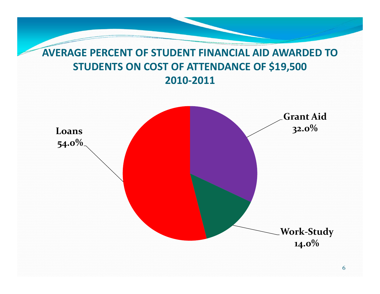